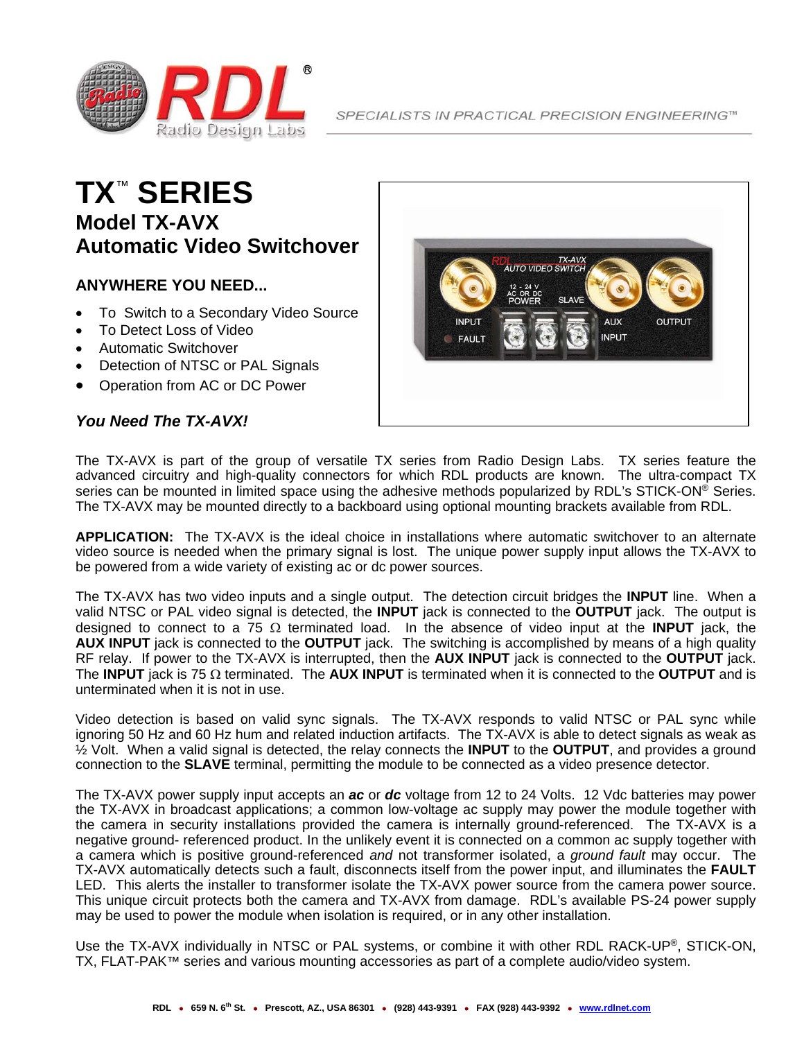

## **TX**™ **SERIES Model TX-AVX Automatic Video Switchover**

## **ANYWHERE YOU NEED...**

- To Switch to a Secondary Video Source
- To Detect Loss of Video
- Automatic Switchover
- Detection of NTSC or PAL Signals
- Operation from AC or DC Power

## *You Need The TX-AVX!*



The TX-AVX is part of the group of versatile TX series from Radio Design Labs. TX series feature the advanced circuitry and high-quality connectors for which RDL products are known. The ultra-compact TX series can be mounted in limited space using the adhesive methods popularized by RDL's STICK-ON® Series. The TX-AVX may be mounted directly to a backboard using optional mounting brackets available from RDL.

**APPLICATION:** The TX-AVX is the ideal choice in installations where automatic switchover to an alternate video source is needed when the primary signal is lost. The unique power supply input allows the TX-AVX to be powered from a wide variety of existing ac or dc power sources.

The TX-AVX has two video inputs and a single output. The detection circuit bridges the **INPUT** line. When a valid NTSC or PAL video signal is detected, the **INPUT** jack is connected to the **OUTPUT** jack. The output is designed to connect to a 75 Ω terminated load. In the absence of video input at the **INPUT** jack, the **AUX INPUT** jack is connected to the **OUTPUT** jack. The switching is accomplished by means of a high quality RF relay. If power to the TX-AVX is interrupted, then the **AUX INPUT** jack is connected to the **OUTPUT** jack. The **INPUT** jack is 75 Ω terminated. The **AUX INPUT** is terminated when it is connected to the **OUTPUT** and is unterminated when it is not in use.

Video detection is based on valid sync signals. The TX-AVX responds to valid NTSC or PAL sync while ignoring 50 Hz and 60 Hz hum and related induction artifacts. The TX-AVX is able to detect signals as weak as ½ Volt. When a valid signal is detected, the relay connects the **INPUT** to the **OUTPUT**, and provides a ground connection to the **SLAVE** terminal, permitting the module to be connected as a video presence detector.

The TX-AVX power supply input accepts an *ac* or *dc* voltage from 12 to 24 Volts. 12 Vdc batteries may power the TX-AVX in broadcast applications; a common low-voltage ac supply may power the module together with the camera in security installations provided the camera is internally ground-referenced. The TX-AVX is a negative ground- referenced product. In the unlikely event it is connected on a common ac supply together with a camera which is positive ground-referenced *and* not transformer isolated, a *ground fault* may occur. The TX-AVX automatically detects such a fault, disconnects itself from the power input, and illuminates the **FAULT** LED. This alerts the installer to transformer isolate the TX-AVX power source from the camera power source. This unique circuit protects both the camera and TX-AVX from damage. RDL's available PS-24 power supply may be used to power the module when isolation is required, or in any other installation.

Use the TX-AVX individually in NTSC or PAL systems, or combine it with other RDL RACK-UP®, STICK-ON, TX, FLAT-PAK™ series and various mounting accessories as part of a complete audio/video system.